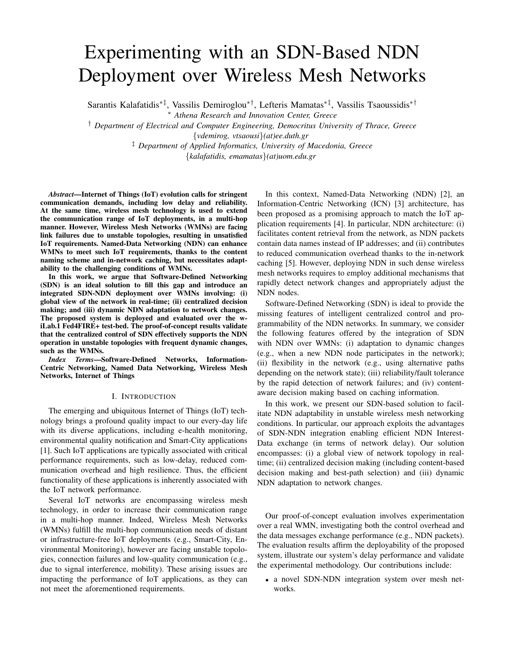## Experimenting with an SDN-Based NDN Deployment over Wireless Mesh Networks

Sarantis Kalafatidis∗‡, Vassilis Demiroglou∗†, Lefteris Mamatas∗‡, Vassilis Tsaoussidis∗†

<sup>∗</sup> *Athena Research and Innovation Center, Greece*

† *Department of Electrical and Computer Engineering, Democritus University of Thrace, Greece*

{*vdemirog, vtsaousi*}*(at)ee.duth.gr*

‡ *Department of Applied Informatics, University of Macedonia, Greece*

{*kalafatidis, emamatas*}*(at)uom.edu.gr*

*Abstract*—Internet of Things (IoT) evolution calls for stringent communication demands, including low delay and reliability. At the same time, wireless mesh technology is used to extend the communication range of IoT deployments, in a multi-hop manner. However, Wireless Mesh Networks (WMNs) are facing link failures due to unstable topologies, resulting in unsatisfied IoT requirements. Named-Data Networking (NDN) can enhance WMNs to meet such IoT requirements, thanks to the content naming scheme and in-network caching, but necessitates adaptability to the challenging conditions of WMNs.

In this work, we argue that Software-Defined Networking (SDN) is an ideal solution to fill this gap and introduce an integrated SDN-NDN deployment over WMNs involving: (i) global view of the network in real-time; (ii) centralized decision making; and (iii) dynamic NDN adaptation to network changes. The proposed system is deployed and evaluated over the wiLab.1 Fed4FIRE+ test-bed. The proof-of-concept results validate that the centralized control of SDN effectively supports the NDN operation in unstable topologies with frequent dynamic changes, such as the WMNs.

*Index Terms*—Software-Defined Networks, Information-Centric Networking, Named Data Networking, Wireless Mesh Networks, Internet of Things

## I. INTRODUCTION

The emerging and ubiquitous Internet of Things (IoT) technology brings a profound quality impact to our every-day life with its diverse applications, including e-health monitoring, environmental quality notification and Smart-City applications [1]. Such IoT applications are typically associated with critical performance requirements, such as low-delay, reduced communication overhead and high resilience. Thus, the efficient functionality of these applications is inherently associated with the IoT network performance.

Several IoT networks are encompassing wireless mesh technology, in order to increase their communication range in a multi-hop manner. Indeed, Wireless Mesh Networks (WMNs) fulfill the multi-hop communication needs of distant or infrastructure-free IoT deployments (e.g., Smart-City, Environmental Monitoring), however are facing unstable topologies, connection failures and low-quality communication (e.g., due to signal interference, mobility). These arising issues are impacting the performance of IoT applications, as they can not meet the aforementioned requirements.

In this context, Named-Data Networking (NDN) [2], an Information-Centric Networking (ICN) [3] architecture, has been proposed as a promising approach to match the IoT application requirements [4]. In particular, NDN architecture: (i) facilitates content retrieval from the network, as NDN packets contain data names instead of IP addresses; and (ii) contributes to reduced communication overhead thanks to the in-network caching [5]. However, deploying NDN in such dense wireless mesh networks requires to employ additional mechanisms that rapidly detect network changes and appropriately adjust the NDN nodes.

Software-Defined Networking (SDN) is ideal to provide the missing features of intelligent centralized control and programmability of the NDN networks. In summary, we consider the following features offered by the integration of SDN with NDN over WMNs: (i) adaptation to dynamic changes (e.g., when a new NDN node participates in the network); (ii) flexibility in the network (e.g., using alternative paths depending on the network state); (iii) reliability/fault tolerance by the rapid detection of network failures; and (iv) contentaware decision making based on caching information.

In this work, we present our SDN-based solution to facilitate NDN adaptability in unstable wireless mesh networking conditions. In particular, our approach exploits the advantages of SDN-NDN integration enabling efficient NDN Interest-Data exchange (in terms of network delay). Our solution encompasses: (i) a global view of network topology in realtime; (ii) centralized decision making (including content-based decision making and best-path selection) and (iii) dynamic NDN adaptation to network changes.

Our proof-of-concept evaluation involves experimentation over a real WMN, investigating both the control overhead and the data messages exchange performance (e.g., NDN packets). The evaluation results affirm the deployability of the proposed system, illustrate our system's delay performance and validate the experimental methodology. Our contributions include:

• a novel SDN-NDN integration system over mesh networks.